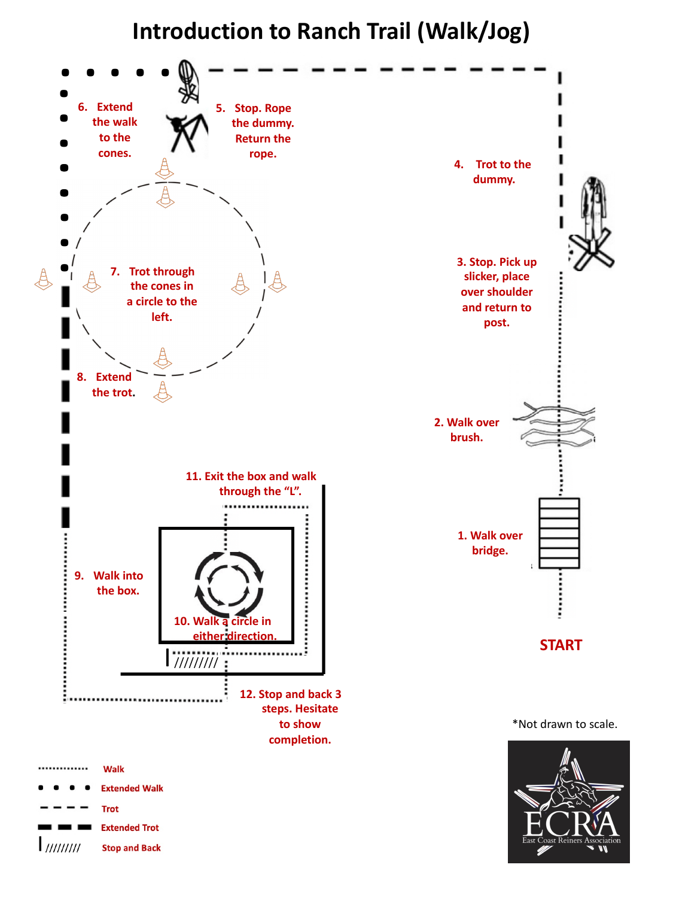

## **Introduction to Ranch Trail (Walk/Jog)**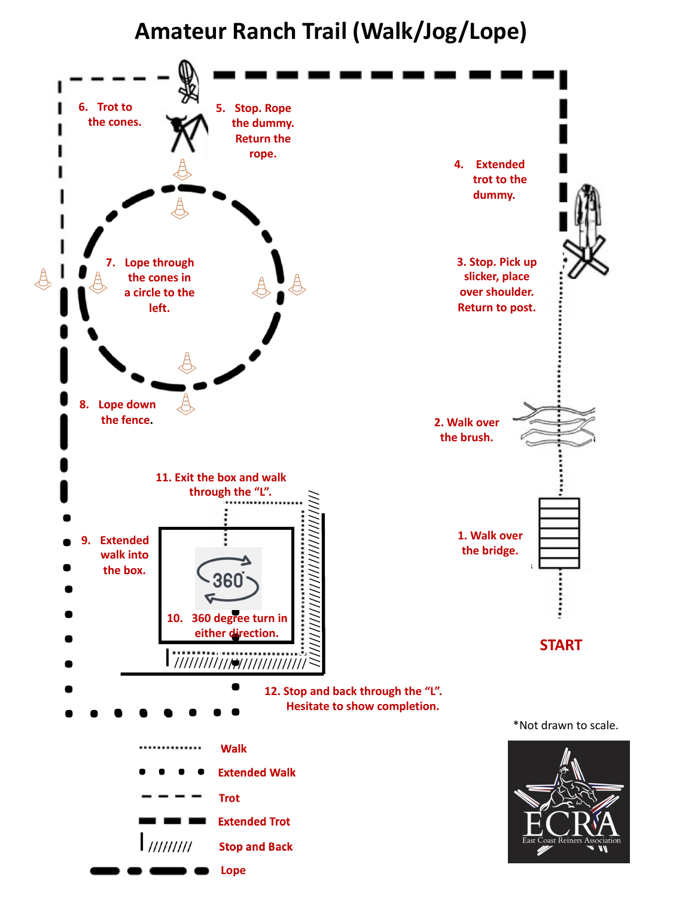

**12. Stop and back through the "L". Hesitate to show completion.**

# **Amateur Ranch Trail (Walk/Jog/Lope)**





\*Not drawn to scale.